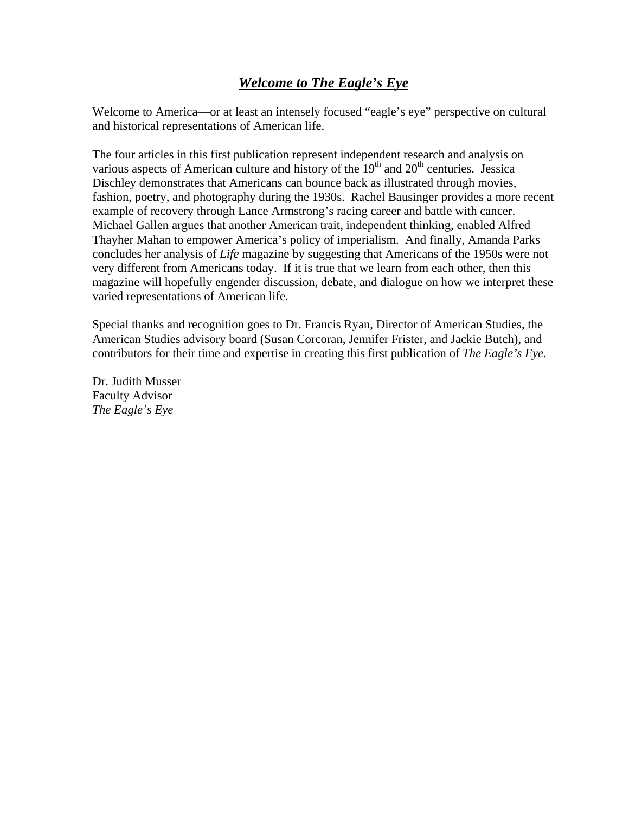# *Welcome to The Eagle's Eye*

Welcome to America—or at least an intensely focused "eagle's eye" perspective on cultural and historical representations of American life.

The four articles in this first publication represent independent research and analysis on various aspects of American culture and history of the  $19<sup>th</sup>$  and  $20<sup>th</sup>$  centuries. Jessica Dischley demonstrates that Americans can bounce back as illustrated through movies, fashion, poetry, and photography during the 1930s. Rachel Bausinger provides a more recent example of recovery through Lance Armstrong's racing career and battle with cancer. Michael Gallen argues that another American trait, independent thinking, enabled Alfred Thayher Mahan to empower America's policy of imperialism. And finally, Amanda Parks concludes her analysis of *Life* magazine by suggesting that Americans of the 1950s were not very different from Americans today. If it is true that we learn from each other, then this magazine will hopefully engender discussion, debate, and dialogue on how we interpret these varied representations of American life.

Special thanks and recognition goes to Dr. Francis Ryan, Director of American Studies, the American Studies advisory board (Susan Corcoran, Jennifer Frister, and Jackie Butch), and contributors for their time and expertise in creating this first publication of *The Eagle's Eye*.

Dr. Judith Musser Faculty Advisor *The Eagle's Eye*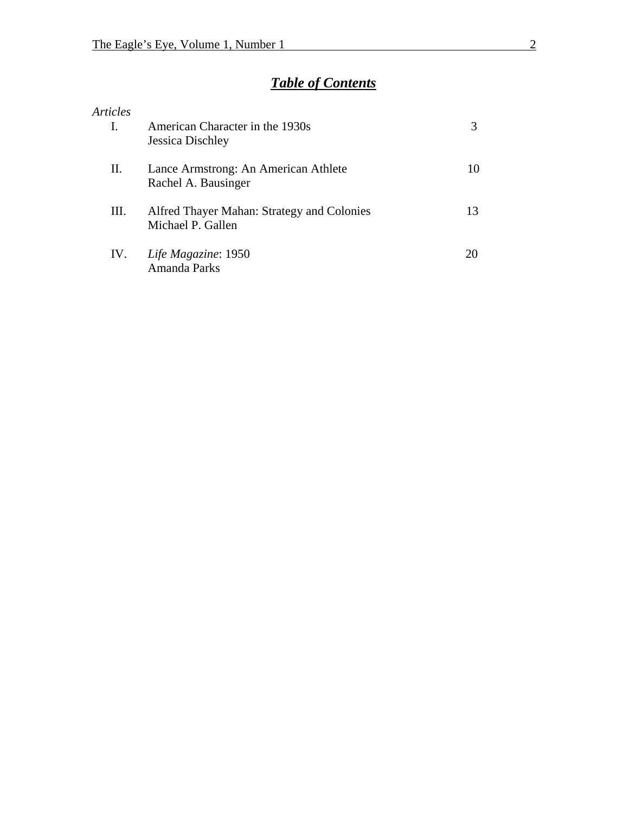# *Table of Contents*

|      | American Character in the 1930s<br>Jessica Dischley             |    |
|------|-----------------------------------------------------------------|----|
| II.  | Lance Armstrong: An American Athlete<br>Rachel A. Bausinger     | 10 |
| III. | Alfred Thayer Mahan: Strategy and Colonies<br>Michael P. Gallen | 13 |
| IV.  | Life Magazine: 1950<br>Amanda Parks                             | 20 |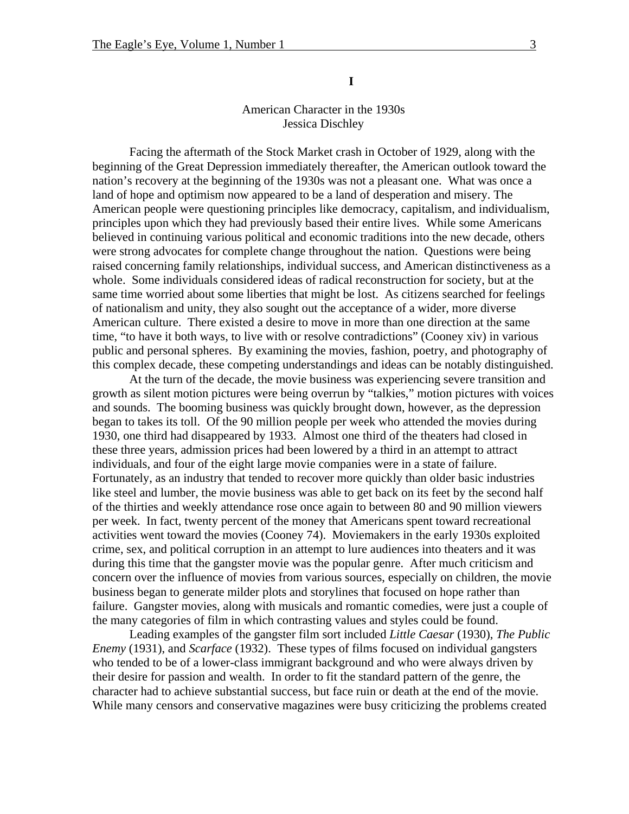**I** 

## American Character in the 1930s Jessica Dischley

Facing the aftermath of the Stock Market crash in October of 1929, along with the beginning of the Great Depression immediately thereafter, the American outlook toward the nation's recovery at the beginning of the 1930s was not a pleasant one. What was once a land of hope and optimism now appeared to be a land of desperation and misery. The American people were questioning principles like democracy, capitalism, and individualism, principles upon which they had previously based their entire lives. While some Americans believed in continuing various political and economic traditions into the new decade, others were strong advocates for complete change throughout the nation. Questions were being raised concerning family relationships, individual success, and American distinctiveness as a whole. Some individuals considered ideas of radical reconstruction for society, but at the same time worried about some liberties that might be lost. As citizens searched for feelings of nationalism and unity, they also sought out the acceptance of a wider, more diverse American culture. There existed a desire to move in more than one direction at the same time, "to have it both ways, to live with or resolve contradictions" (Cooney xiv) in various public and personal spheres. By examining the movies, fashion, poetry, and photography of this complex decade, these competing understandings and ideas can be notably distinguished.

At the turn of the decade, the movie business was experiencing severe transition and growth as silent motion pictures were being overrun by "talkies," motion pictures with voices and sounds. The booming business was quickly brought down, however, as the depression began to takes its toll. Of the 90 million people per week who attended the movies during 1930, one third had disappeared by 1933. Almost one third of the theaters had closed in these three years, admission prices had been lowered by a third in an attempt to attract individuals, and four of the eight large movie companies were in a state of failure. Fortunately, as an industry that tended to recover more quickly than older basic industries like steel and lumber, the movie business was able to get back on its feet by the second half of the thirties and weekly attendance rose once again to between 80 and 90 million viewers per week. In fact, twenty percent of the money that Americans spent toward recreational activities went toward the movies (Cooney 74). Moviemakers in the early 1930s exploited crime, sex, and political corruption in an attempt to lure audiences into theaters and it was during this time that the gangster movie was the popular genre. After much criticism and concern over the influence of movies from various sources, especially on children, the movie business began to generate milder plots and storylines that focused on hope rather than failure. Gangster movies, along with musicals and romantic comedies, were just a couple of the many categories of film in which contrasting values and styles could be found.

Leading examples of the gangster film sort included *Little Caesar* (1930), *The Public Enemy* (1931), and *Scarface* (1932). These types of films focused on individual gangsters who tended to be of a lower-class immigrant background and who were always driven by their desire for passion and wealth. In order to fit the standard pattern of the genre, the character had to achieve substantial success, but face ruin or death at the end of the movie. While many censors and conservative magazines were busy criticizing the problems created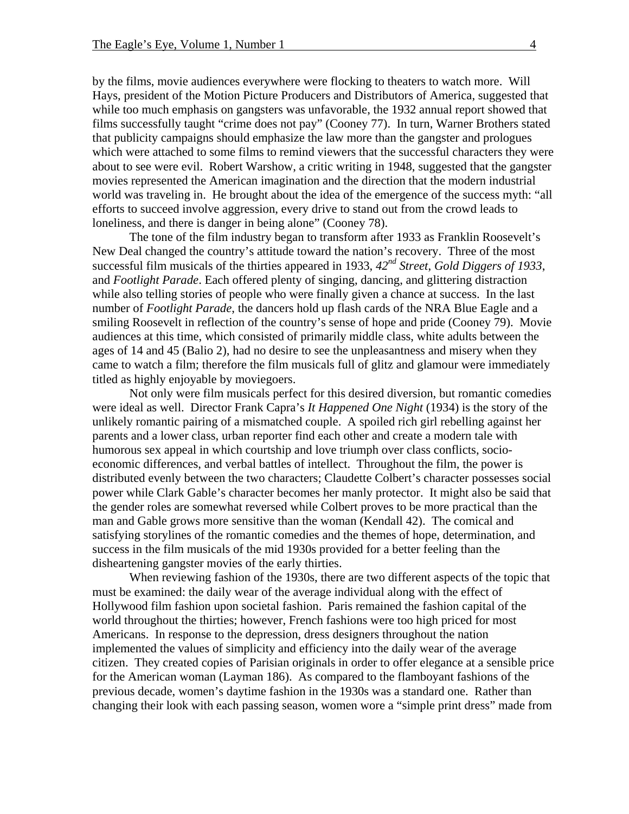by the films, movie audiences everywhere were flocking to theaters to watch more. Will Hays, president of the Motion Picture Producers and Distributors of America, suggested that while too much emphasis on gangsters was unfavorable, the 1932 annual report showed that films successfully taught "crime does not pay" (Cooney 77). In turn, Warner Brothers stated that publicity campaigns should emphasize the law more than the gangster and prologues which were attached to some films to remind viewers that the successful characters they were about to see were evil. Robert Warshow, a critic writing in 1948, suggested that the gangster movies represented the American imagination and the direction that the modern industrial world was traveling in. He brought about the idea of the emergence of the success myth: "all efforts to succeed involve aggression, every drive to stand out from the crowd leads to loneliness, and there is danger in being alone" (Cooney 78).

The tone of the film industry began to transform after 1933 as Franklin Roosevelt's New Deal changed the country's attitude toward the nation's recovery. Three of the most successful film musicals of the thirties appeared in 1933, *42nd Street*, *Gold Diggers of 1933*, and *Footlight Parade*. Each offered plenty of singing, dancing, and glittering distraction while also telling stories of people who were finally given a chance at success. In the last number of *Footlight Parade*, the dancers hold up flash cards of the NRA Blue Eagle and a smiling Roosevelt in reflection of the country's sense of hope and pride (Cooney 79). Movie audiences at this time, which consisted of primarily middle class, white adults between the ages of 14 and 45 (Balio 2), had no desire to see the unpleasantness and misery when they came to watch a film; therefore the film musicals full of glitz and glamour were immediately titled as highly enjoyable by moviegoers.

Not only were film musicals perfect for this desired diversion, but romantic comedies were ideal as well. Director Frank Capra's *It Happened One Night* (1934) is the story of the unlikely romantic pairing of a mismatched couple. A spoiled rich girl rebelling against her parents and a lower class, urban reporter find each other and create a modern tale with humorous sex appeal in which courtship and love triumph over class conflicts, socioeconomic differences, and verbal battles of intellect. Throughout the film, the power is distributed evenly between the two characters; Claudette Colbert's character possesses social power while Clark Gable's character becomes her manly protector. It might also be said that the gender roles are somewhat reversed while Colbert proves to be more practical than the man and Gable grows more sensitive than the woman (Kendall 42). The comical and satisfying storylines of the romantic comedies and the themes of hope, determination, and success in the film musicals of the mid 1930s provided for a better feeling than the disheartening gangster movies of the early thirties.

When reviewing fashion of the 1930s, there are two different aspects of the topic that must be examined: the daily wear of the average individual along with the effect of Hollywood film fashion upon societal fashion. Paris remained the fashion capital of the world throughout the thirties; however, French fashions were too high priced for most Americans. In response to the depression, dress designers throughout the nation implemented the values of simplicity and efficiency into the daily wear of the average citizen. They created copies of Parisian originals in order to offer elegance at a sensible price for the American woman (Layman 186). As compared to the flamboyant fashions of the previous decade, women's daytime fashion in the 1930s was a standard one. Rather than changing their look with each passing season, women wore a "simple print dress" made from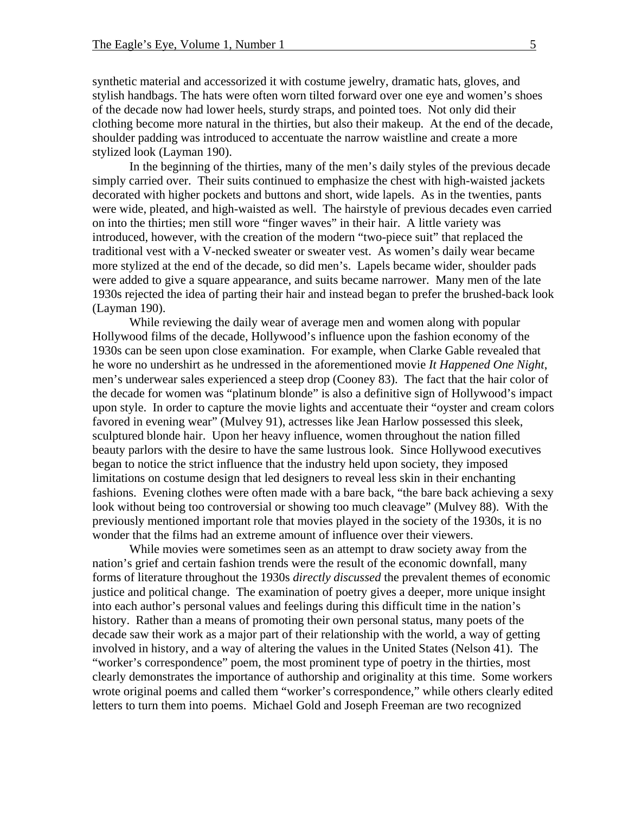synthetic material and accessorized it with costume jewelry, dramatic hats, gloves, and stylish handbags. The hats were often worn tilted forward over one eye and women's shoes of the decade now had lower heels, sturdy straps, and pointed toes. Not only did their clothing become more natural in the thirties, but also their makeup. At the end of the decade, shoulder padding was introduced to accentuate the narrow waistline and create a more stylized look (Layman 190).

In the beginning of the thirties, many of the men's daily styles of the previous decade simply carried over. Their suits continued to emphasize the chest with high-waisted jackets decorated with higher pockets and buttons and short, wide lapels. As in the twenties, pants were wide, pleated, and high-waisted as well. The hairstyle of previous decades even carried on into the thirties; men still wore "finger waves" in their hair. A little variety was introduced, however, with the creation of the modern "two-piece suit" that replaced the traditional vest with a V-necked sweater or sweater vest. As women's daily wear became more stylized at the end of the decade, so did men's. Lapels became wider, shoulder pads were added to give a square appearance, and suits became narrower. Many men of the late 1930s rejected the idea of parting their hair and instead began to prefer the brushed-back look (Layman 190).

While reviewing the daily wear of average men and women along with popular Hollywood films of the decade, Hollywood's influence upon the fashion economy of the 1930s can be seen upon close examination. For example, when Clarke Gable revealed that he wore no undershirt as he undressed in the aforementioned movie *It Happened One Night*, men's underwear sales experienced a steep drop (Cooney 83). The fact that the hair color of the decade for women was "platinum blonde" is also a definitive sign of Hollywood's impact upon style. In order to capture the movie lights and accentuate their "oyster and cream colors favored in evening wear" (Mulvey 91), actresses like Jean Harlow possessed this sleek, sculptured blonde hair. Upon her heavy influence, women throughout the nation filled beauty parlors with the desire to have the same lustrous look. Since Hollywood executives began to notice the strict influence that the industry held upon society, they imposed limitations on costume design that led designers to reveal less skin in their enchanting fashions. Evening clothes were often made with a bare back, "the bare back achieving a sexy look without being too controversial or showing too much cleavage" (Mulvey 88). With the previously mentioned important role that movies played in the society of the 1930s, it is no wonder that the films had an extreme amount of influence over their viewers.

While movies were sometimes seen as an attempt to draw society away from the nation's grief and certain fashion trends were the result of the economic downfall, many forms of literature throughout the 1930s *directly discussed* the prevalent themes of economic justice and political change. The examination of poetry gives a deeper, more unique insight into each author's personal values and feelings during this difficult time in the nation's history. Rather than a means of promoting their own personal status, many poets of the decade saw their work as a major part of their relationship with the world, a way of getting involved in history, and a way of altering the values in the United States (Nelson 41). The "worker's correspondence" poem, the most prominent type of poetry in the thirties, most clearly demonstrates the importance of authorship and originality at this time. Some workers wrote original poems and called them "worker's correspondence," while others clearly edited letters to turn them into poems. Michael Gold and Joseph Freeman are two recognized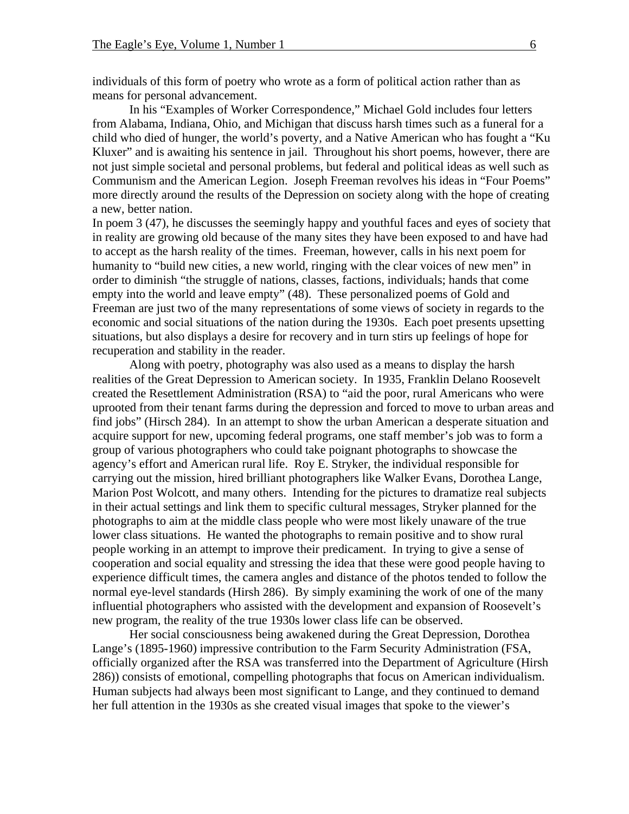individuals of this form of poetry who wrote as a form of political action rather than as means for personal advancement.

In his "Examples of Worker Correspondence," Michael Gold includes four letters from Alabama, Indiana, Ohio, and Michigan that discuss harsh times such as a funeral for a child who died of hunger, the world's poverty, and a Native American who has fought a "Ku Kluxer" and is awaiting his sentence in jail. Throughout his short poems, however, there are not just simple societal and personal problems, but federal and political ideas as well such as Communism and the American Legion. Joseph Freeman revolves his ideas in "Four Poems" more directly around the results of the Depression on society along with the hope of creating a new, better nation.

In poem 3 (47), he discusses the seemingly happy and youthful faces and eyes of society that in reality are growing old because of the many sites they have been exposed to and have had to accept as the harsh reality of the times. Freeman, however, calls in his next poem for humanity to "build new cities, a new world, ringing with the clear voices of new men" in order to diminish "the struggle of nations, classes, factions, individuals; hands that come empty into the world and leave empty" (48). These personalized poems of Gold and Freeman are just two of the many representations of some views of society in regards to the economic and social situations of the nation during the 1930s. Each poet presents upsetting situations, but also displays a desire for recovery and in turn stirs up feelings of hope for recuperation and stability in the reader.

Along with poetry, photography was also used as a means to display the harsh realities of the Great Depression to American society. In 1935, Franklin Delano Roosevelt created the Resettlement Administration (RSA) to "aid the poor, rural Americans who were uprooted from their tenant farms during the depression and forced to move to urban areas and find jobs" (Hirsch 284). In an attempt to show the urban American a desperate situation and acquire support for new, upcoming federal programs, one staff member's job was to form a group of various photographers who could take poignant photographs to showcase the agency's effort and American rural life. Roy E. Stryker, the individual responsible for carrying out the mission, hired brilliant photographers like Walker Evans, Dorothea Lange, Marion Post Wolcott, and many others. Intending for the pictures to dramatize real subjects in their actual settings and link them to specific cultural messages, Stryker planned for the photographs to aim at the middle class people who were most likely unaware of the true lower class situations. He wanted the photographs to remain positive and to show rural people working in an attempt to improve their predicament. In trying to give a sense of cooperation and social equality and stressing the idea that these were good people having to experience difficult times, the camera angles and distance of the photos tended to follow the normal eye-level standards (Hirsh 286). By simply examining the work of one of the many influential photographers who assisted with the development and expansion of Roosevelt's new program, the reality of the true 1930s lower class life can be observed.

Her social consciousness being awakened during the Great Depression, Dorothea Lange's (1895-1960) impressive contribution to the Farm Security Administration (FSA, officially organized after the RSA was transferred into the Department of Agriculture (Hirsh 286)) consists of emotional, compelling photographs that focus on American individualism. Human subjects had always been most significant to Lange, and they continued to demand her full attention in the 1930s as she created visual images that spoke to the viewer's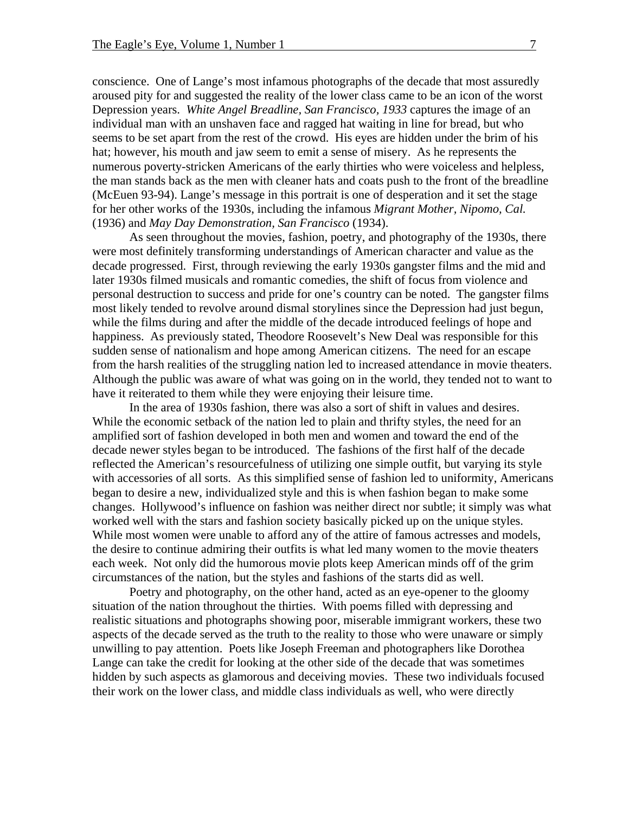conscience. One of Lange's most infamous photographs of the decade that most assuredly aroused pity for and suggested the reality of the lower class came to be an icon of the worst Depression years. *White Angel Breadline, San Francisco, 1933* captures the image of an individual man with an unshaven face and ragged hat waiting in line for bread, but who seems to be set apart from the rest of the crowd. His eyes are hidden under the brim of his hat; however, his mouth and jaw seem to emit a sense of misery. As he represents the numerous poverty-stricken Americans of the early thirties who were voiceless and helpless, the man stands back as the men with cleaner hats and coats push to the front of the breadline (McEuen 93-94). Lange's message in this portrait is one of desperation and it set the stage for her other works of the 1930s, including the infamous *Migrant Mother, Nipomo, Cal.* (1936) and *May Day Demonstration, San Francisco* (1934).

As seen throughout the movies, fashion, poetry, and photography of the 1930s, there were most definitely transforming understandings of American character and value as the decade progressed. First, through reviewing the early 1930s gangster films and the mid and later 1930s filmed musicals and romantic comedies, the shift of focus from violence and personal destruction to success and pride for one's country can be noted. The gangster films most likely tended to revolve around dismal storylines since the Depression had just begun, while the films during and after the middle of the decade introduced feelings of hope and happiness. As previously stated, Theodore Roosevelt's New Deal was responsible for this sudden sense of nationalism and hope among American citizens. The need for an escape from the harsh realities of the struggling nation led to increased attendance in movie theaters. Although the public was aware of what was going on in the world, they tended not to want to have it reiterated to them while they were enjoying their leisure time.

In the area of 1930s fashion, there was also a sort of shift in values and desires. While the economic setback of the nation led to plain and thrifty styles, the need for an amplified sort of fashion developed in both men and women and toward the end of the decade newer styles began to be introduced. The fashions of the first half of the decade reflected the American's resourcefulness of utilizing one simple outfit, but varying its style with accessories of all sorts. As this simplified sense of fashion led to uniformity, Americans began to desire a new, individualized style and this is when fashion began to make some changes. Hollywood's influence on fashion was neither direct nor subtle; it simply was what worked well with the stars and fashion society basically picked up on the unique styles. While most women were unable to afford any of the attire of famous actresses and models, the desire to continue admiring their outfits is what led many women to the movie theaters each week. Not only did the humorous movie plots keep American minds off of the grim circumstances of the nation, but the styles and fashions of the starts did as well.

Poetry and photography, on the other hand, acted as an eye-opener to the gloomy situation of the nation throughout the thirties. With poems filled with depressing and realistic situations and photographs showing poor, miserable immigrant workers, these two aspects of the decade served as the truth to the reality to those who were unaware or simply unwilling to pay attention. Poets like Joseph Freeman and photographers like Dorothea Lange can take the credit for looking at the other side of the decade that was sometimes hidden by such aspects as glamorous and deceiving movies. These two individuals focused their work on the lower class, and middle class individuals as well, who were directly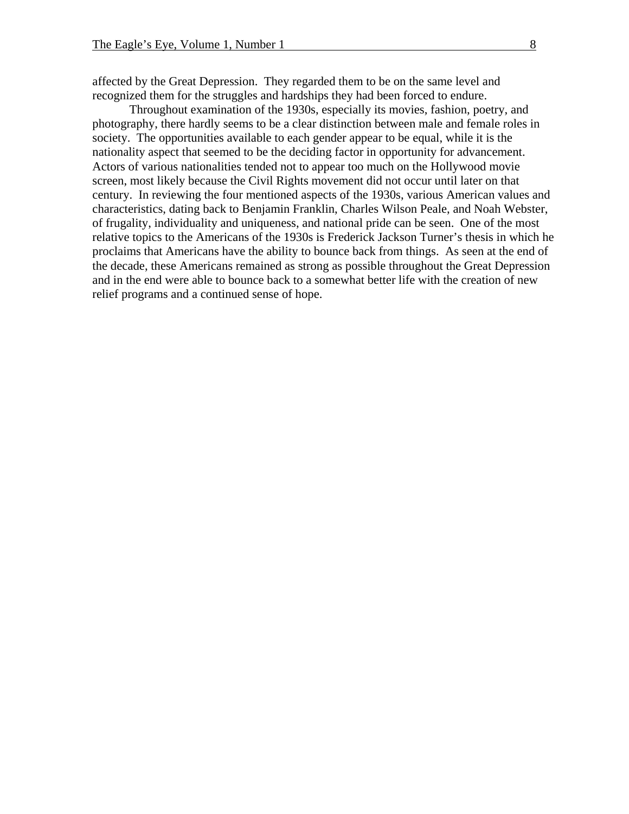affected by the Great Depression. They regarded them to be on the same level and recognized them for the struggles and hardships they had been forced to endure.

Throughout examination of the 1930s, especially its movies, fashion, poetry, and photography, there hardly seems to be a clear distinction between male and female roles in society. The opportunities available to each gender appear to be equal, while it is the nationality aspect that seemed to be the deciding factor in opportunity for advancement. Actors of various nationalities tended not to appear too much on the Hollywood movie screen, most likely because the Civil Rights movement did not occur until later on that century. In reviewing the four mentioned aspects of the 1930s, various American values and characteristics, dating back to Benjamin Franklin, Charles Wilson Peale, and Noah Webster, of frugality, individuality and uniqueness, and national pride can be seen. One of the most relative topics to the Americans of the 1930s is Frederick Jackson Turner's thesis in which he proclaims that Americans have the ability to bounce back from things. As seen at the end of the decade, these Americans remained as strong as possible throughout the Great Depression and in the end were able to bounce back to a somewhat better life with the creation of new relief programs and a continued sense of hope.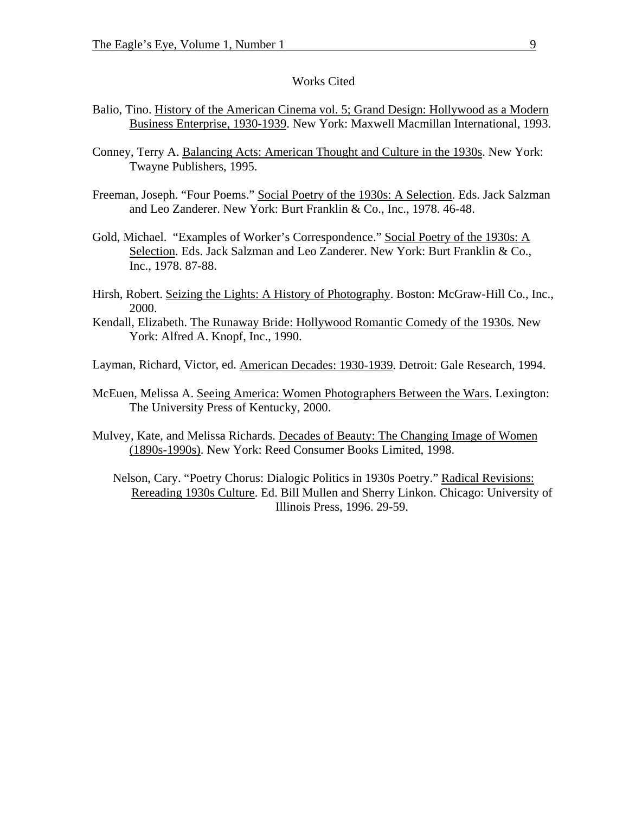#### Works Cited

- Balio, Tino. History of the American Cinema vol. 5; Grand Design: Hollywood as a Modern Business Enterprise, 1930-1939. New York: Maxwell Macmillan International, 1993.
- Conney, Terry A. Balancing Acts: American Thought and Culture in the 1930s. New York: Twayne Publishers, 1995.
- Freeman, Joseph. "Four Poems." Social Poetry of the 1930s: A Selection. Eds. Jack Salzman and Leo Zanderer. New York: Burt Franklin & Co., Inc., 1978. 46-48.
- Gold, Michael. "Examples of Worker's Correspondence." Social Poetry of the 1930s: A Selection. Eds. Jack Salzman and Leo Zanderer. New York: Burt Franklin & Co., Inc., 1978. 87-88.
- Hirsh, Robert. Seizing the Lights: A History of Photography. Boston: McGraw-Hill Co., Inc., 2000.
- Kendall, Elizabeth. The Runaway Bride: Hollywood Romantic Comedy of the 1930s. New York: Alfred A. Knopf, Inc., 1990.

Layman, Richard, Victor, ed. American Decades: 1930-1939. Detroit: Gale Research, 1994.

- McEuen, Melissa A. Seeing America: Women Photographers Between the Wars. Lexington: The University Press of Kentucky, 2000.
- Mulvey, Kate, and Melissa Richards. Decades of Beauty: The Changing Image of Women (1890s-1990s). New York: Reed Consumer Books Limited, 1998.

Nelson, Cary. "Poetry Chorus: Dialogic Politics in 1930s Poetry." Radical Revisions: Rereading 1930s Culture. Ed. Bill Mullen and Sherry Linkon. Chicago: University of Illinois Press, 1996. 29-59.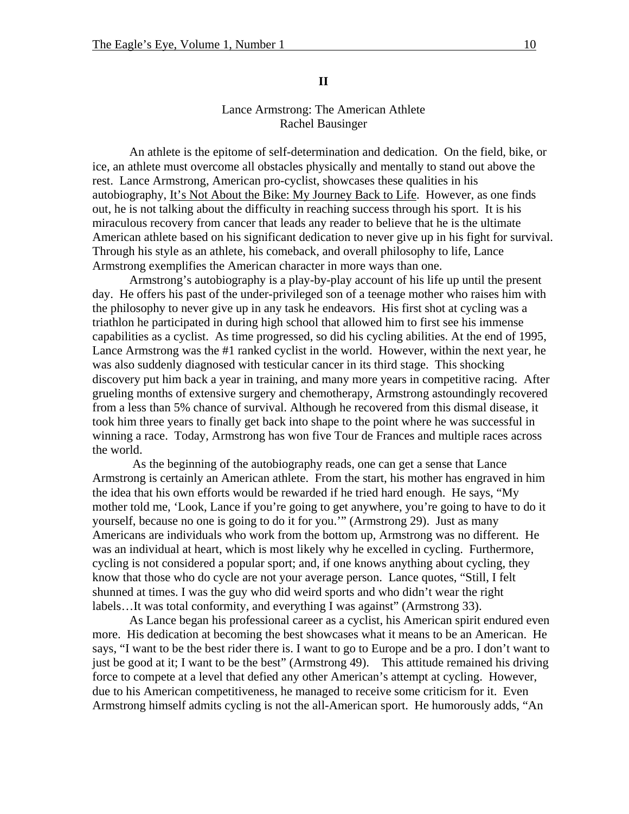#### **II**

## Lance Armstrong: The American Athlete Rachel Bausinger

An athlete is the epitome of self-determination and dedication. On the field, bike, or ice, an athlete must overcome all obstacles physically and mentally to stand out above the rest. Lance Armstrong, American pro-cyclist, showcases these qualities in his autobiography, It's Not About the Bike: My Journey Back to Life. However, as one finds out, he is not talking about the difficulty in reaching success through his sport. It is his miraculous recovery from cancer that leads any reader to believe that he is the ultimate American athlete based on his significant dedication to never give up in his fight for survival. Through his style as an athlete, his comeback, and overall philosophy to life, Lance Armstrong exemplifies the American character in more ways than one.

Armstrong's autobiography is a play-by-play account of his life up until the present day. He offers his past of the under-privileged son of a teenage mother who raises him with the philosophy to never give up in any task he endeavors. His first shot at cycling was a triathlon he participated in during high school that allowed him to first see his immense capabilities as a cyclist. As time progressed, so did his cycling abilities. At the end of 1995, Lance Armstrong was the #1 ranked cyclist in the world. However, within the next year, he was also suddenly diagnosed with testicular cancer in its third stage. This shocking discovery put him back a year in training, and many more years in competitive racing. After grueling months of extensive surgery and chemotherapy, Armstrong astoundingly recovered from a less than 5% chance of survival. Although he recovered from this dismal disease, it took him three years to finally get back into shape to the point where he was successful in winning a race. Today, Armstrong has won five Tour de Frances and multiple races across the world.

 As the beginning of the autobiography reads, one can get a sense that Lance Armstrong is certainly an American athlete. From the start, his mother has engraved in him the idea that his own efforts would be rewarded if he tried hard enough. He says, "My mother told me, 'Look, Lance if you're going to get anywhere, you're going to have to do it yourself, because no one is going to do it for you.'" (Armstrong 29). Just as many Americans are individuals who work from the bottom up, Armstrong was no different. He was an individual at heart, which is most likely why he excelled in cycling. Furthermore, cycling is not considered a popular sport; and, if one knows anything about cycling, they know that those who do cycle are not your average person. Lance quotes, "Still, I felt shunned at times. I was the guy who did weird sports and who didn't wear the right labels...It was total conformity, and everything I was against" (Armstrong 33).

As Lance began his professional career as a cyclist, his American spirit endured even more. His dedication at becoming the best showcases what it means to be an American. He says, "I want to be the best rider there is. I want to go to Europe and be a pro. I don't want to just be good at it; I want to be the best" (Armstrong 49). This attitude remained his driving force to compete at a level that defied any other American's attempt at cycling. However, due to his American competitiveness, he managed to receive some criticism for it. Even Armstrong himself admits cycling is not the all-American sport. He humorously adds, "An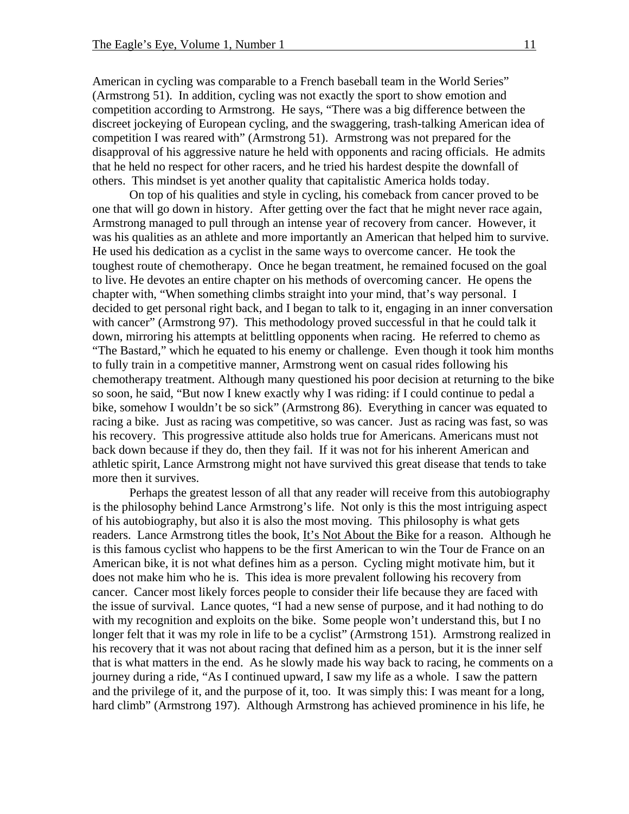American in cycling was comparable to a French baseball team in the World Series" (Armstrong 51). In addition, cycling was not exactly the sport to show emotion and competition according to Armstrong. He says, "There was a big difference between the discreet jockeying of European cycling, and the swaggering, trash-talking American idea of competition I was reared with" (Armstrong 51). Armstrong was not prepared for the disapproval of his aggressive nature he held with opponents and racing officials. He admits that he held no respect for other racers, and he tried his hardest despite the downfall of others. This mindset is yet another quality that capitalistic America holds today.

On top of his qualities and style in cycling, his comeback from cancer proved to be one that will go down in history. After getting over the fact that he might never race again, Armstrong managed to pull through an intense year of recovery from cancer. However, it was his qualities as an athlete and more importantly an American that helped him to survive. He used his dedication as a cyclist in the same ways to overcome cancer. He took the toughest route of chemotherapy. Once he began treatment, he remained focused on the goal to live. He devotes an entire chapter on his methods of overcoming cancer. He opens the chapter with, "When something climbs straight into your mind, that's way personal. I decided to get personal right back, and I began to talk to it, engaging in an inner conversation with cancer" (Armstrong 97). This methodology proved successful in that he could talk it down, mirroring his attempts at belittling opponents when racing. He referred to chemo as "The Bastard," which he equated to his enemy or challenge. Even though it took him months to fully train in a competitive manner, Armstrong went on casual rides following his chemotherapy treatment. Although many questioned his poor decision at returning to the bike so soon, he said, "But now I knew exactly why I was riding: if I could continue to pedal a bike, somehow I wouldn't be so sick" (Armstrong 86). Everything in cancer was equated to racing a bike. Just as racing was competitive, so was cancer. Just as racing was fast, so was his recovery. This progressive attitude also holds true for Americans. Americans must not back down because if they do, then they fail. If it was not for his inherent American and athletic spirit, Lance Armstrong might not have survived this great disease that tends to take more then it survives.

Perhaps the greatest lesson of all that any reader will receive from this autobiography is the philosophy behind Lance Armstrong's life. Not only is this the most intriguing aspect of his autobiography, but also it is also the most moving. This philosophy is what gets readers. Lance Armstrong titles the book, It's Not About the Bike for a reason. Although he is this famous cyclist who happens to be the first American to win the Tour de France on an American bike, it is not what defines him as a person. Cycling might motivate him, but it does not make him who he is. This idea is more prevalent following his recovery from cancer. Cancer most likely forces people to consider their life because they are faced with the issue of survival. Lance quotes, "I had a new sense of purpose, and it had nothing to do with my recognition and exploits on the bike. Some people won't understand this, but I no longer felt that it was my role in life to be a cyclist" (Armstrong 151). Armstrong realized in his recovery that it was not about racing that defined him as a person, but it is the inner self that is what matters in the end. As he slowly made his way back to racing, he comments on a journey during a ride, "As I continued upward, I saw my life as a whole. I saw the pattern and the privilege of it, and the purpose of it, too. It was simply this: I was meant for a long, hard climb" (Armstrong 197). Although Armstrong has achieved prominence in his life, he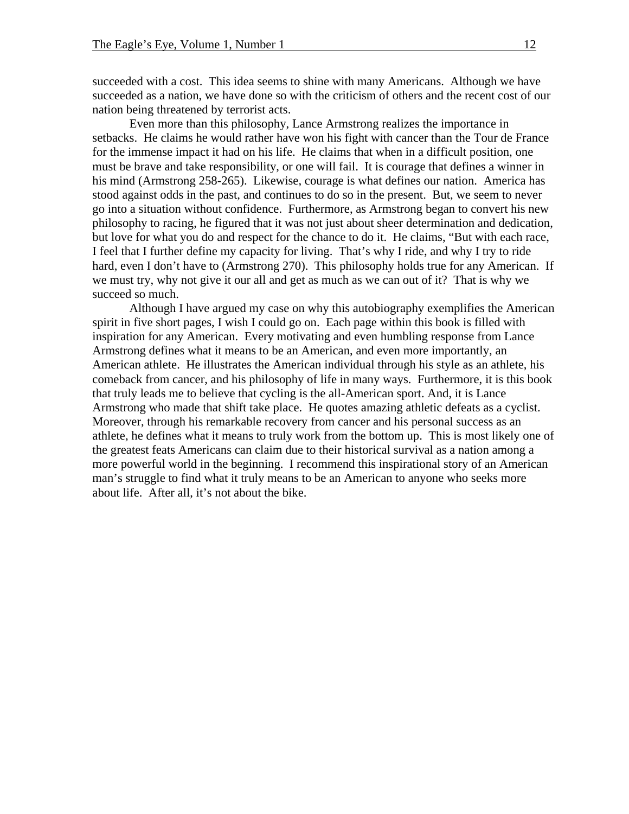succeeded with a cost. This idea seems to shine with many Americans. Although we have succeeded as a nation, we have done so with the criticism of others and the recent cost of our nation being threatened by terrorist acts.

Even more than this philosophy, Lance Armstrong realizes the importance in setbacks. He claims he would rather have won his fight with cancer than the Tour de France for the immense impact it had on his life. He claims that when in a difficult position, one must be brave and take responsibility, or one will fail. It is courage that defines a winner in his mind (Armstrong 258-265). Likewise, courage is what defines our nation. America has stood against odds in the past, and continues to do so in the present. But, we seem to never go into a situation without confidence. Furthermore, as Armstrong began to convert his new philosophy to racing, he figured that it was not just about sheer determination and dedication, but love for what you do and respect for the chance to do it. He claims, "But with each race, I feel that I further define my capacity for living. That's why I ride, and why I try to ride hard, even I don't have to (Armstrong 270). This philosophy holds true for any American. If we must try, why not give it our all and get as much as we can out of it? That is why we succeed so much.

Although I have argued my case on why this autobiography exemplifies the American spirit in five short pages, I wish I could go on. Each page within this book is filled with inspiration for any American. Every motivating and even humbling response from Lance Armstrong defines what it means to be an American, and even more importantly, an American athlete. He illustrates the American individual through his style as an athlete, his comeback from cancer, and his philosophy of life in many ways. Furthermore, it is this book that truly leads me to believe that cycling is the all-American sport. And, it is Lance Armstrong who made that shift take place. He quotes amazing athletic defeats as a cyclist. Moreover, through his remarkable recovery from cancer and his personal success as an athlete, he defines what it means to truly work from the bottom up. This is most likely one of the greatest feats Americans can claim due to their historical survival as a nation among a more powerful world in the beginning. I recommend this inspirational story of an American man's struggle to find what it truly means to be an American to anyone who seeks more about life. After all, it's not about the bike.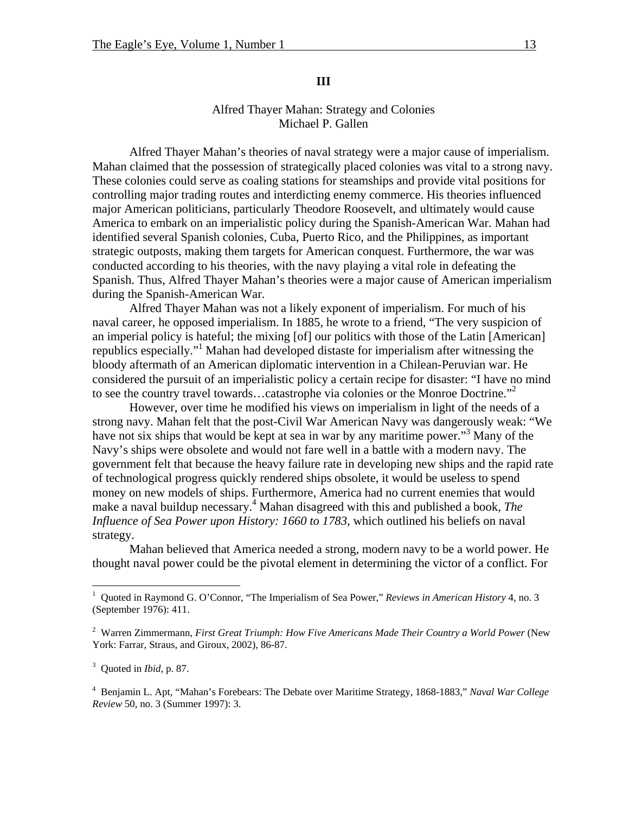# **III**

# Alfred Thayer Mahan: Strategy and Colonies Michael P. Gallen

Alfred Thayer Mahan's theories of naval strategy were a major cause of imperialism. Mahan claimed that the possession of strategically placed colonies was vital to a strong navy. These colonies could serve as coaling stations for steamships and provide vital positions for controlling major trading routes and interdicting enemy commerce. His theories influenced major American politicians, particularly Theodore Roosevelt, and ultimately would cause America to embark on an imperialistic policy during the Spanish-American War. Mahan had identified several Spanish colonies, Cuba, Puerto Rico, and the Philippines, as important strategic outposts, making them targets for American conquest. Furthermore, the war was conducted according to his theories, with the navy playing a vital role in defeating the Spanish. Thus, Alfred Thayer Mahan's theories were a major cause of American imperialism during the Spanish-American War.

Alfred Thayer Mahan was not a likely exponent of imperialism. For much of his naval career, he opposed imperialism. In 1885, he wrote to a friend, "The very suspicion of an imperial policy is hateful; the mixing [of] our politics with those of the Latin [American] republics especially.["1](#page-12-0) Mahan had developed distaste for imperialism after witnessing the bloody aftermath of an American diplomatic intervention in a Chilean-Peruvian war. He considered the pursuit of an imperialistic policy a certain recipe for disaster: "I have no mind to see the country travel towards...catastrophe via colonies or the Monroe Doctrine."<sup>[2](#page-12-1)</sup>

However, over time he modified his views on imperialism in light of the needs of a strong navy. Mahan felt that the post-Civil War American Navy was dangerously weak: "We have not six ships that would be kept at sea in war by any maritime power."<sup>[3](#page-12-2)</sup> Many of the Navy's ships were obsolete and would not fare well in a battle with a modern navy. The government felt that because the heavy failure rate in developing new ships and the rapid rate of technological progress quickly rendered ships obsolete, it would be useless to spend money on new models of ships. Furthermore, America had no current enemies that would make a naval buildup necessary.<sup>[4](#page-12-3)</sup> Mahan disagreed with this and published a book, *The Influence of Sea Power upon History: 1660 to 1783*, which outlined his beliefs on naval strategy.

Mahan believed that America needed a strong, modern navy to be a world power. He thought naval power could be the pivotal element in determining the victor of a conflict. For

1

<span id="page-12-0"></span><sup>&</sup>lt;sup>1</sup> Quoted in Raymond G. O'Connor, "The Imperialism of Sea Power," *Reviews in American History* 4, no. 3 (September 1976): 411.

<span id="page-12-1"></span><sup>&</sup>lt;sup>2</sup> Warren Zimmermann, *First Great Triumph: How Five Americans Made Their Country a World Power* (New York: Farrar, Straus, and Giroux, 2002), 86-87.

<span id="page-12-2"></span><sup>3</sup> Quoted in *Ibid,* p. 87.

<span id="page-12-3"></span><sup>4</sup> Benjamin L. Apt, "Mahan's Forebears: The Debate over Maritime Strategy, 1868-1883," *Naval War College Review* 50, no. 3 (Summer 1997): 3.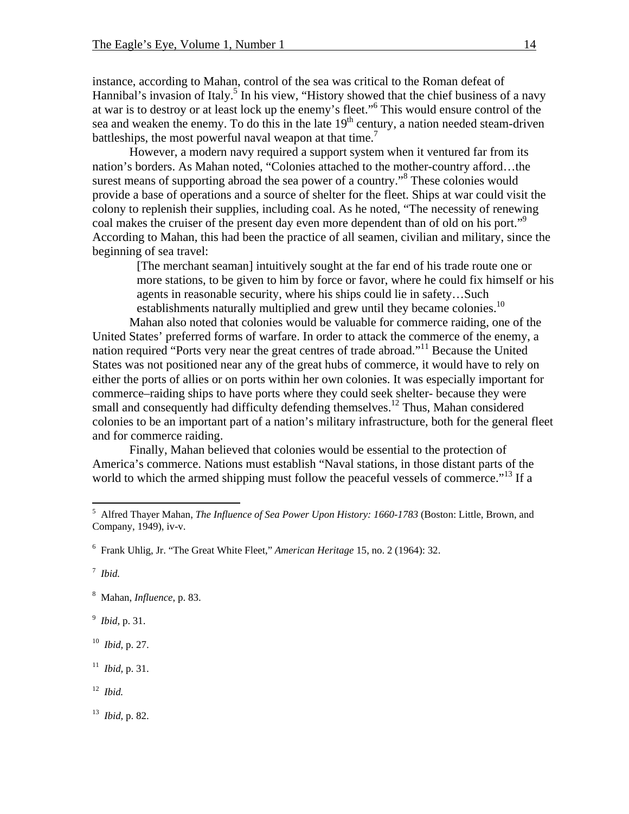instance, according to Mahan, control of the sea was critical to the Roman defeat of Hannibal's invasion of Italy.<sup>5</sup> In his view, "History showed that the chief business of a navy at war is to destroy or at least lock up the enemy's fleet." [6](#page-13-1) This would ensure control of the sea and weaken the enemy. To do this in the late  $19<sup>th</sup>$  century, a nation needed steam-driven battleships, the most powerful naval weapon at that time.<sup>[7](#page-13-2)</sup>

However, a modern navy required a support system when it ventured far from its nation's borders. As Mahan noted, "Colonies attached to the mother-country afford…the surest means of supporting abroad the sea power of a country."<sup>[8](#page-13-3)</sup> These colonies would provide a base of operations and a source of shelter for the fleet. Ships at war could visit the colony to replenish their supplies, including coal. As he noted, "The necessity of renewing coal makes the cruiser of the present day even more dependent than of old on his port."<sup>[9](#page-13-4)</sup> According to Mahan, this had been the practice of all seamen, civilian and military, since the beginning of sea travel:

[The merchant seaman] intuitively sought at the far end of his trade route one or more stations, to be given to him by force or favor, where he could fix himself or his agents in reasonable security, where his ships could lie in safety…Such establishments naturally multiplied and grew until they became colonies.<sup>10</sup>

Mahan also noted that colonies would be valuable for commerce raiding, one of the United States' preferred forms of warfare. In order to attack the commerce of the enemy, a nation required "Ports very near the great centres of trade abroad."[11](#page-13-6) Because the United States was not positioned near any of the great hubs of commerce, it would have to rely on either the ports of allies or on ports within her own colonies. It was especially important for commerce–raiding ships to have ports where they could seek shelter- because they were small and consequently had difficulty defending themselves.<sup>12</sup> Thus, Mahan considered colonies to be an important part of a nation's military infrastructure, both for the general fleet and for commerce raiding.

Finally, Mahan believed that colonies would be essential to the protection of America's commerce. Nations must establish "Naval stations, in those distant parts of the world to which the armed shipping must follow the peaceful vessels of commerce.<sup> $13$ </sup> If a

<span id="page-13-2"></span>7 *Ibid.*

1

<span id="page-13-3"></span>8 Mahan, *Influence*, p. 83.

<span id="page-13-4"></span>9 *Ibid,* p. 31.

<span id="page-13-5"></span>10 *Ibid,* p. 27.

<span id="page-13-6"></span>11 *Ibid,* p. 31.

<span id="page-13-7"></span>12 *Ibid.*

<span id="page-13-8"></span>13 *Ibid,* p. 82.

<span id="page-13-0"></span><sup>5</sup> Alfred Thayer Mahan, *The Influence of Sea Power Upon History: 1660-1783* (Boston: Little, Brown, and Company, 1949), iv-v.

<span id="page-13-1"></span><sup>6</sup> Frank Uhlig, Jr. "The Great White Fleet," *American Heritage* 15, no. 2 (1964): 32.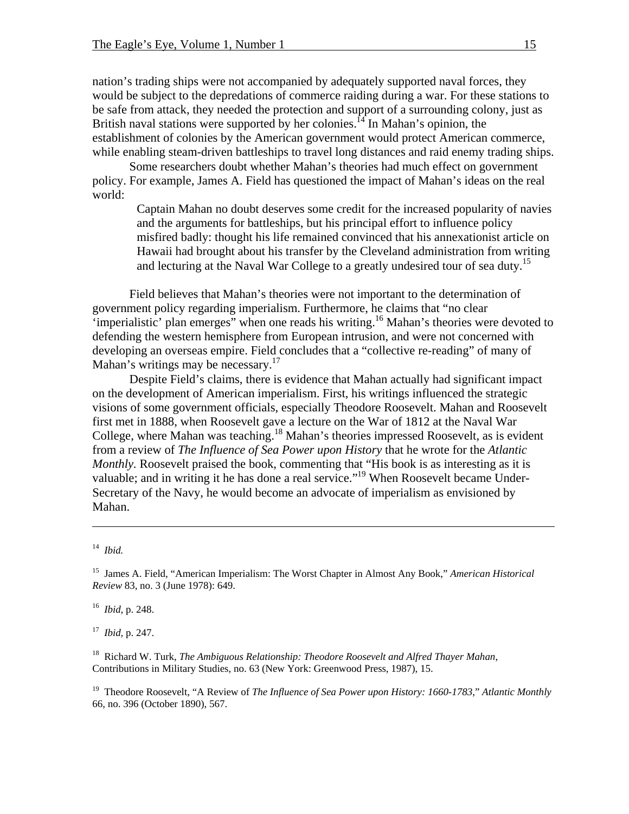nation's trading ships were not accompanied by adequately supported naval forces, they would be subject to the depredations of commerce raiding during a war. For these stations to be safe from attack, they needed the protection and support of a surrounding colony, just as British naval stations were supported by her colonies.<sup>14</sup> In Mahan's opinion, the establishment of colonies by the American government would protect American commerce, while enabling steam-driven battleships to travel long distances and raid enemy trading ships.

Some researchers doubt whether Mahan's theories had much effect on government policy. For example, James A. Field has questioned the impact of Mahan's ideas on the real world:

Captain Mahan no doubt deserves some credit for the increased popularity of navies and the arguments for battleships, but his principal effort to influence policy misfired badly: thought his life remained convinced that his annexationist article on Hawaii had brought about his transfer by the Cleveland administration from writing and lecturing at the Naval War College to a greatly undesired tour of sea duty.<sup>[15](#page-14-1)</sup>

Field believes that Mahan's theories were not important to the determination of government policy regarding imperialism. Furthermore, he claims that "no clear 'imperialistic' plan emerges" when one reads his writing.<sup>16</sup> Mahan's theories were devoted to defending the western hemisphere from European intrusion, and were not concerned with developing an overseas empire. Field concludes that a "collective re-reading" of many of Mahan's writings may be necessary. $17$ 

Despite Field's claims, there is evidence that Mahan actually had significant impact on the development of American imperialism. First, his writings influenced the strategic visions of some government officials, especially Theodore Roosevelt. Mahan and Roosevelt first met in 1888, when Roosevelt gave a lecture on the War of 1812 at the Naval War College, where Mahan was teaching.<sup>18</sup> Mahan's theories impressed Roosevelt, as is evident from a review of *The Influence of Sea Power upon History* that he wrote for the *Atlantic Monthly.* Roosevelt praised the book, commenting that "His book is as interesting as it is valuable; and in writing it he has done a real service.["19](#page-14-5) When Roosevelt became Under-Secretary of the Navy, he would become an advocate of imperialism as envisioned by Mahan.

 $\overline{a}$ 

<span id="page-14-2"></span>16 *Ibid,* p. 248.

<span id="page-14-3"></span>17 *Ibid,* p. 247.

<span id="page-14-5"></span>19 Theodore Roosevelt, "A Review of *The Influence of Sea Power upon History: 1660-1783*," *Atlantic Monthly* 66, no. 396 (October 1890), 567.

<span id="page-14-0"></span><sup>14</sup> *Ibid.*

<span id="page-14-1"></span><sup>15</sup> James A. Field, "American Imperialism: The Worst Chapter in Almost Any Book," *American Historical Review* 83, no. 3 (June 1978): 649.

<span id="page-14-4"></span><sup>18</sup> Richard W. Turk, *The Ambiguous Relationship: Theodore Roosevelt and Alfred Thayer Mahan*, Contributions in Military Studies, no. 63 (New York: Greenwood Press, 1987), 15.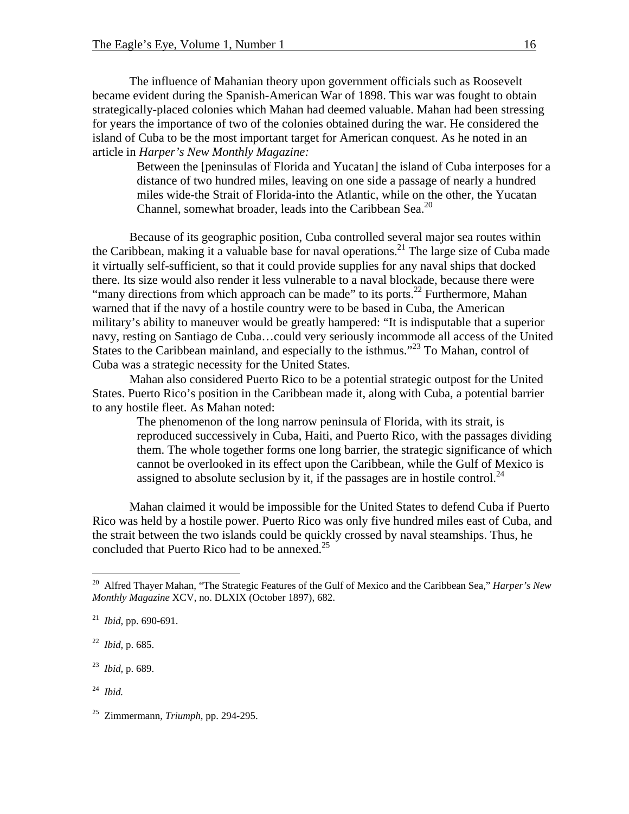The influence of Mahanian theory upon government officials such as Roosevelt became evident during the Spanish-American War of 1898. This war was fought to obtain strategically-placed colonies which Mahan had deemed valuable. Mahan had been stressing for years the importance of two of the colonies obtained during the war. He considered the island of Cuba to be the most important target for American conquest. As he noted in an article in *Harper's New Monthly Magazine:*

Between the [peninsulas of Florida and Yucatan] the island of Cuba interposes for a distance of two hundred miles, leaving on one side a passage of nearly a hundred miles wide-the Strait of Florida-into the Atlantic, while on the other, the Yucatan Channel, somewhat broader, leads into the Caribbean Sea.<sup>20</sup>

Because of its geographic position, Cuba controlled several major sea routes within the Caribbean, making it a valuable base for naval operations.<sup>21</sup> The large size of Cuba made it virtually self-sufficient, so that it could provide supplies for any naval ships that docked there. Its size would also render it less vulnerable to a naval blockade, because there were "many directions from which approach can be made" to its ports.<sup>22</sup> Furthermore, Mahan warned that if the navy of a hostile country were to be based in Cuba, the American military's ability to maneuver would be greatly hampered: "It is indisputable that a superior navy, resting on Santiago de Cuba…could very seriously incommode all access of the United States to the Caribbean mainland, and especially to the isthmus."<sup>23</sup> To Mahan, control of Cuba was a strategic necessity for the United States.

Mahan also considered Puerto Rico to be a potential strategic outpost for the United States. Puerto Rico's position in the Caribbean made it, along with Cuba, a potential barrier to any hostile fleet. As Mahan noted:

The phenomenon of the long narrow peninsula of Florida, with its strait, is reproduced successively in Cuba, Haiti, and Puerto Rico, with the passages dividing them. The whole together forms one long barrier, the strategic significance of which cannot be overlooked in its effect upon the Caribbean, while the Gulf of Mexico is assigned to absolute seclusion by it, if the passages are in hostile control.<sup>24</sup>

Mahan claimed it would be impossible for the United States to defend Cuba if Puerto Rico was held by a hostile power. Puerto Rico was only five hundred miles east of Cuba, and the strait between the two islands could be quickly crossed by naval steamships. Thus, he concluded that Puerto Rico had to be annexed. $25$ 

 $\overline{a}$ 

<span id="page-15-0"></span><sup>20</sup> Alfred Thayer Mahan, "The Strategic Features of the Gulf of Mexico and the Caribbean Sea," *Harper's New Monthly Magazine* XCV, no. DLXIX (October 1897), 682.

<span id="page-15-1"></span><sup>21</sup> *Ibid,* pp. 690-691.

<span id="page-15-2"></span><sup>22</sup> *Ibid,* p. 685.

<span id="page-15-3"></span><sup>23</sup> *Ibid,* p. 689.

<span id="page-15-4"></span><sup>24</sup> *Ibid.*

<span id="page-15-5"></span><sup>25</sup> Zimmermann, *Triumph,* pp. 294-295.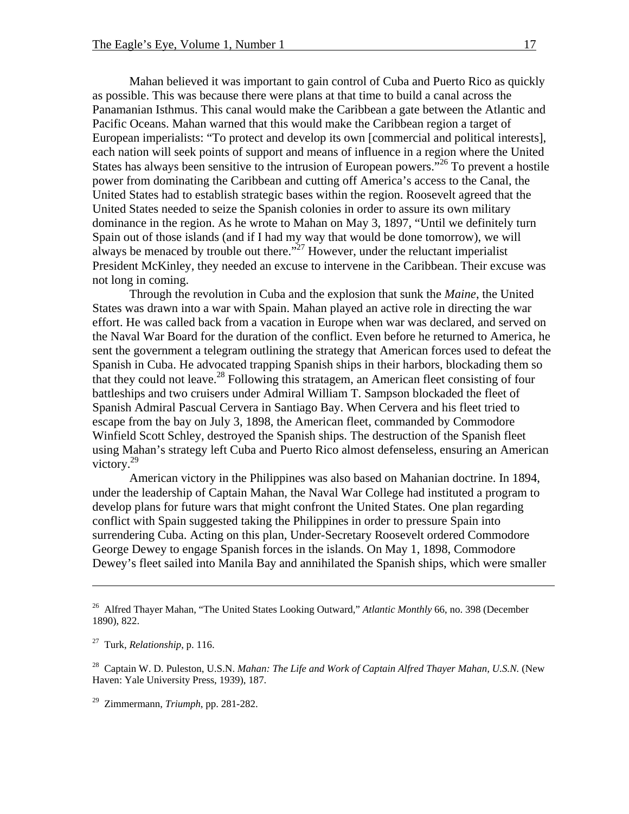Mahan believed it was important to gain control of Cuba and Puerto Rico as quickly as possible. This was because there were plans at that time to build a canal across the Panamanian Isthmus. This canal would make the Caribbean a gate between the Atlantic and Pacific Oceans. Mahan warned that this would make the Caribbean region a target of European imperialists: "To protect and develop its own [commercial and political interests], each nation will seek points of support and means of influence in a region where the United States has always been sensitive to the intrusion of European powers.<sup> $26$ </sup> To prevent a hostile power from dominating the Caribbean and cutting off America's access to the Canal, the United States had to establish strategic bases within the region. Roosevelt agreed that the United States needed to seize the Spanish colonies in order to assure its own military dominance in the region. As he wrote to Mahan on May 3, 1897, "Until we definitely turn Spain out of those islands (and if I had my way that would be done tomorrow), we will always be menaced by trouble out there." $^{27}$  However, under the reluctant imperialist President McKinley, they needed an excuse to intervene in the Caribbean. Their excuse was not long in coming.

Through the revolution in Cuba and the explosion that sunk the *Maine*, the United States was drawn into a war with Spain. Mahan played an active role in directing the war effort. He was called back from a vacation in Europe when war was declared, and served on the Naval War Board for the duration of the conflict. Even before he returned to America, he sent the government a telegram outlining the strategy that American forces used to defeat the Spanish in Cuba. He advocated trapping Spanish ships in their harbors, blockading them so that they could not leave.<sup>28</sup> Following this stratagem, an American fleet consisting of four battleships and two cruisers under Admiral William T. Sampson blockaded the fleet of Spanish Admiral Pascual Cervera in Santiago Bay. When Cervera and his fleet tried to escape from the bay on July 3, 1898, the American fleet, commanded by Commodore Winfield Scott Schley, destroyed the Spanish ships. The destruction of the Spanish fleet using Mahan's strategy left Cuba and Puerto Rico almost defenseless, ensuring an American victory.<sup>29</sup>

American victory in the Philippines was also based on Mahanian doctrine. In 1894, under the leadership of Captain Mahan, the Naval War College had instituted a program to develop plans for future wars that might confront the United States. One plan regarding conflict with Spain suggested taking the Philippines in order to pressure Spain into surrendering Cuba. Acting on this plan, Under-Secretary Roosevelt ordered Commodore George Dewey to engage Spanish forces in the islands. On May 1, 1898, Commodore Dewey's fleet sailed into Manila Bay and annihilated the Spanish ships, which were smaller

 $\overline{a}$ 

<span id="page-16-0"></span><sup>26</sup> Alfred Thayer Mahan, "The United States Looking Outward," *Atlantic Monthly* 66, no. 398 (December 1890), 822.

<span id="page-16-1"></span><sup>27</sup> Turk, *Relationship*, p. 116.

<span id="page-16-2"></span><sup>28</sup> Captain W. D. Puleston, U.S.N. *Mahan: The Life and Work of Captain Alfred Thayer Mahan, U.S.N.* (New Haven: Yale University Press, 1939), 187.

<span id="page-16-3"></span><sup>29</sup> Zimmermann, *Triumph*, pp. 281-282.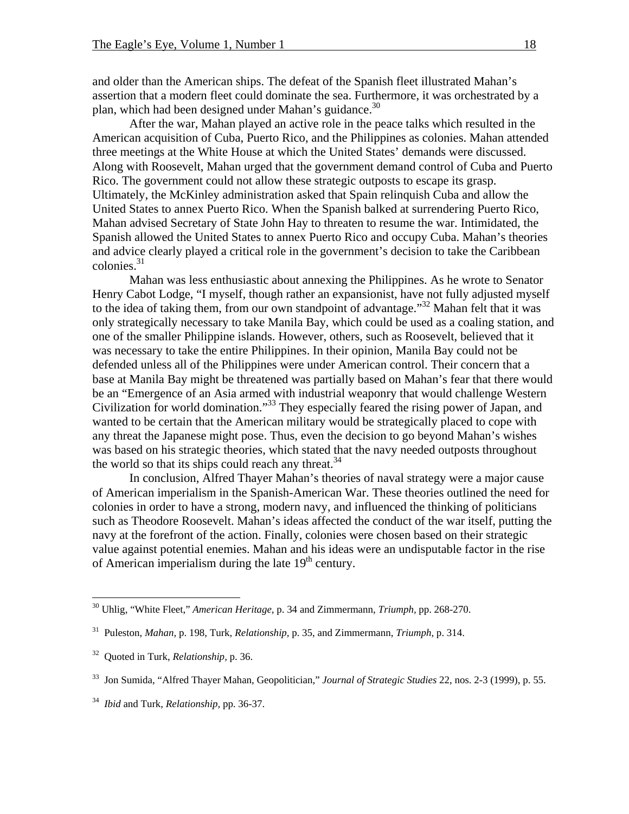and older than the American ships. The defeat of the Spanish fleet illustrated Mahan's assertion that a modern fleet could dominate the sea. Furthermore, it was orchestrated by a plan, which had been designed under Mahan's guidance.<sup>30</sup>

After the war, Mahan played an active role in the peace talks which resulted in the American acquisition of Cuba, Puerto Rico, and the Philippines as colonies. Mahan attended three meetings at the White House at which the United States' demands were discussed. Along with Roosevelt, Mahan urged that the government demand control of Cuba and Puerto Rico. The government could not allow these strategic outposts to escape its grasp. Ultimately, the McKinley administration asked that Spain relinquish Cuba and allow the United States to annex Puerto Rico. When the Spanish balked at surrendering Puerto Rico, Mahan advised Secretary of State John Hay to threaten to resume the war. Intimidated, the Spanish allowed the United States to annex Puerto Rico and occupy Cuba. Mahan's theories and advice clearly played a critical role in the government's decision to take the Caribbean colonies. $31$ 

Mahan was less enthusiastic about annexing the Philippines. As he wrote to Senator Henry Cabot Lodge, "I myself, though rather an expansionist, have not fully adjusted myself to the idea of taking them, from our own standpoint of advantage."<sup>32</sup> Mahan felt that it was only strategically necessary to take Manila Bay, which could be used as a coaling station, and one of the smaller Philippine islands. However, others, such as Roosevelt, believed that it was necessary to take the entire Philippines. In their opinion, Manila Bay could not be defended unless all of the Philippines were under American control. Their concern that a base at Manila Bay might be threatened was partially based on Mahan's fear that there would be an "Emergence of an Asia armed with industrial weaponry that would challenge Western Civilization for world domination."[33](#page-17-3) They especially feared the rising power of Japan, and wanted to be certain that the American military would be strategically placed to cope with any threat the Japanese might pose. Thus, even the decision to go beyond Mahan's wishes was based on his strategic theories, which stated that the navy needed outposts throughout the world so that its ships could reach any threat.<sup>[34](#page-17-4)</sup>

In conclusion, Alfred Thayer Mahan's theories of naval strategy were a major cause of American imperialism in the Spanish-American War. These theories outlined the need for colonies in order to have a strong, modern navy, and influenced the thinking of politicians such as Theodore Roosevelt. Mahan's ideas affected the conduct of the war itself, putting the navy at the forefront of the action. Finally, colonies were chosen based on their strategic value against potential enemies. Mahan and his ideas were an undisputable factor in the rise of American imperialism during the late  $19<sup>th</sup>$  century.

1

<span id="page-17-0"></span><sup>30</sup> Uhlig, "White Fleet," *American Heritage*, p. 34 and Zimmermann, *Triumph,* pp. 268-270.

<span id="page-17-1"></span><sup>31</sup> Puleston, *Mahan,* p. 198, Turk, *Relationship,* p. 35, and Zimmermann, *Triumph,* p. 314.

<span id="page-17-2"></span><sup>32</sup> Quoted in Turk, *Relationship,* p. 36.

<span id="page-17-3"></span><sup>33</sup> Jon Sumida, "Alfred Thayer Mahan, Geopolitician," *Journal of Strategic Studies* 22, nos. 2-3 (1999), p. 55.

<span id="page-17-4"></span><sup>34</sup> *Ibid* and Turk, *Relationship,* pp. 36-37.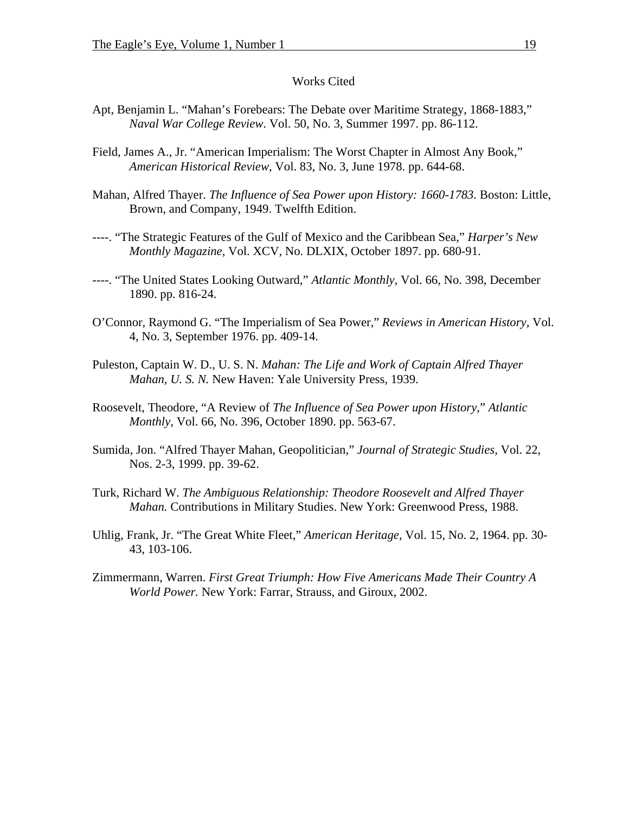#### Works Cited

- Apt, Benjamin L. "Mahan's Forebears: The Debate over Maritime Strategy, 1868-1883," *Naval War College Review*. Vol. 50, No. 3, Summer 1997. pp. 86-112.
- Field, James A., Jr. "American Imperialism: The Worst Chapter in Almost Any Book," *American Historical Review*, Vol. 83, No. 3, June 1978. pp. 644-68.
- Mahan, Alfred Thayer. *The Influence of Sea Power upon History: 1660-1783.* Boston: Little, Brown, and Company, 1949. Twelfth Edition.
- ----. "The Strategic Features of the Gulf of Mexico and the Caribbean Sea," *Harper's New Monthly Magazine*, Vol. XCV, No. DLXIX, October 1897. pp. 680-91.
- ----. "The United States Looking Outward," *Atlantic Monthly*, Vol. 66, No. 398, December 1890. pp. 816-24.
- O'Connor, Raymond G. "The Imperialism of Sea Power," *Reviews in American History*, Vol. 4, No. 3, September 1976. pp. 409-14.
- Puleston, Captain W. D., U. S. N. *Mahan: The Life and Work of Captain Alfred Thayer Mahan, U. S. N.* New Haven: Yale University Press, 1939.
- Roosevelt, Theodore, "A Review of *The Influence of Sea Power upon History*," *Atlantic Monthly*, Vol. 66, No. 396, October 1890. pp. 563-67.
- Sumida, Jon. "Alfred Thayer Mahan, Geopolitician," *Journal of Strategic Studies*, Vol. 22, Nos. 2-3, 1999. pp. 39-62.
- Turk, Richard W. *The Ambiguous Relationship: Theodore Roosevelt and Alfred Thayer Mahan.* Contributions in Military Studies. New York: Greenwood Press, 1988.
- Uhlig, Frank, Jr. "The Great White Fleet," *American Heritage*, Vol. 15, No. 2, 1964. pp. 30- 43, 103-106.
- Zimmermann, Warren. *First Great Triumph: How Five Americans Made Their Country A World Power.* New York: Farrar, Strauss, and Giroux, 2002.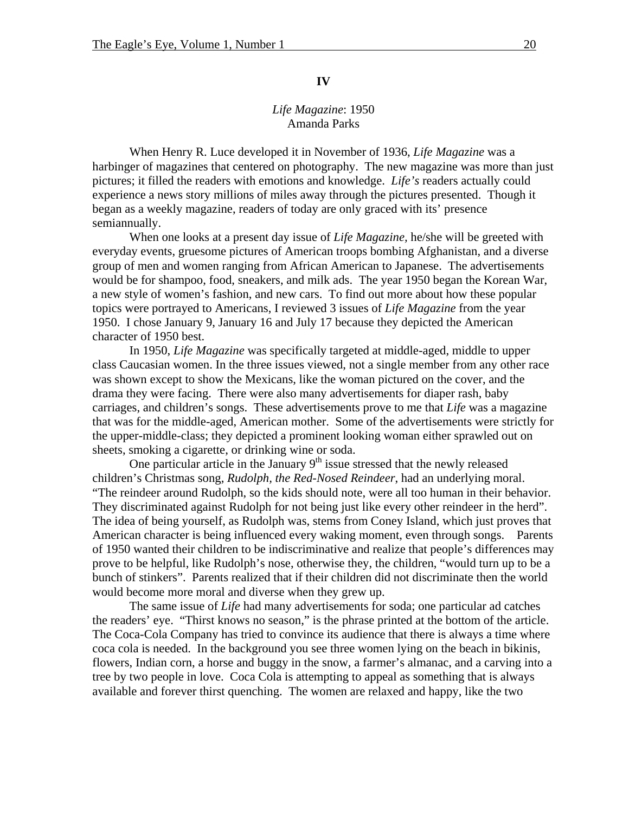#### **IV**

### *Life Magazine*: 1950 Amanda Parks

When Henry R. Luce developed it in November of 1936, *Life Magazine* was a harbinger of magazines that centered on photography. The new magazine was more than just pictures; it filled the readers with emotions and knowledge. *Life's* readers actually could experience a news story millions of miles away through the pictures presented. Though it began as a weekly magazine, readers of today are only graced with its' presence semiannually.

When one looks at a present day issue of *Life Magazine,* he/she will be greeted with everyday events, gruesome pictures of American troops bombing Afghanistan, and a diverse group of men and women ranging from African American to Japanese. The advertisements would be for shampoo, food, sneakers, and milk ads. The year 1950 began the Korean War, a new style of women's fashion, and new cars. To find out more about how these popular topics were portrayed to Americans, I reviewed 3 issues of *Life Magazine* from the year 1950. I chose January 9, January 16 and July 17 because they depicted the American character of 1950 best.

 In 1950, *Life Magazine* was specifically targeted at middle-aged, middle to upper class Caucasian women. In the three issues viewed, not a single member from any other race was shown except to show the Mexicans, like the woman pictured on the cover, and the drama they were facing. There were also many advertisements for diaper rash, baby carriages, and children's songs. These advertisements prove to me that *Life* was a magazine that was for the middle-aged, American mother. Some of the advertisements were strictly for the upper-middle-class; they depicted a prominent looking woman either sprawled out on sheets, smoking a cigarette, or drinking wine or soda.

One particular article in the January  $9<sup>th</sup>$  issue stressed that the newly released children's Christmas song, *Rudolph, the Red-Nosed Reindeer*, had an underlying moral. "The reindeer around Rudolph, so the kids should note, were all too human in their behavior. They discriminated against Rudolph for not being just like every other reindeer in the herd". The idea of being yourself, as Rudolph was, stems from Coney Island, which just proves that American character is being influenced every waking moment, even through songs. Parents of 1950 wanted their children to be indiscriminative and realize that people's differences may prove to be helpful, like Rudolph's nose, otherwise they, the children, "would turn up to be a bunch of stinkers". Parents realized that if their children did not discriminate then the world would become more moral and diverse when they grew up.

The same issue of *Life* had many advertisements for soda; one particular ad catches the readers' eye. "Thirst knows no season," is the phrase printed at the bottom of the article. The Coca-Cola Company has tried to convince its audience that there is always a time where coca cola is needed. In the background you see three women lying on the beach in bikinis, flowers, Indian corn, a horse and buggy in the snow, a farmer's almanac, and a carving into a tree by two people in love. Coca Cola is attempting to appeal as something that is always available and forever thirst quenching. The women are relaxed and happy, like the two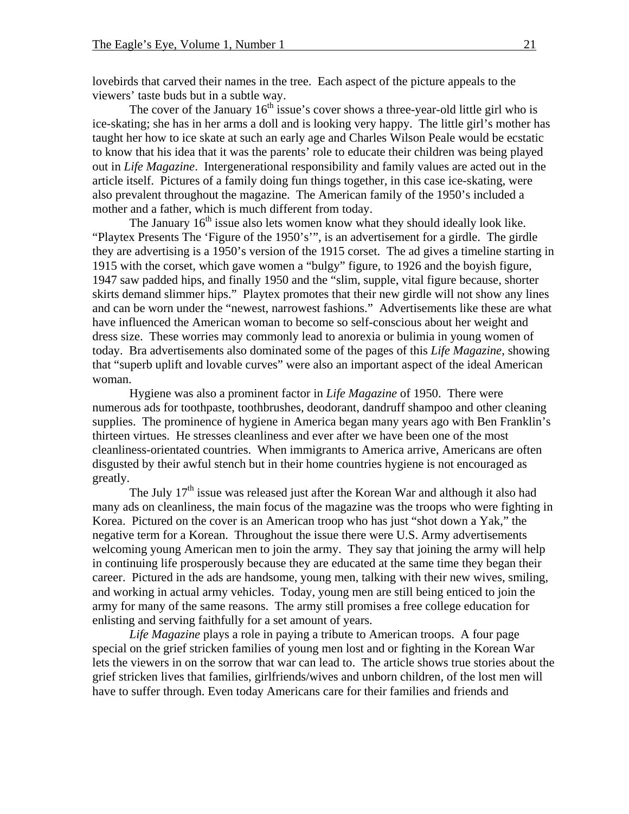lovebirds that carved their names in the tree. Each aspect of the picture appeals to the viewers' taste buds but in a subtle way.

The cover of the January  $16<sup>th</sup>$  issue's cover shows a three-year-old little girl who is ice-skating; she has in her arms a doll and is looking very happy. The little girl's mother has taught her how to ice skate at such an early age and Charles Wilson Peale would be ecstatic to know that his idea that it was the parents' role to educate their children was being played out in *Life Magazine*. Intergenerational responsibility and family values are acted out in the article itself. Pictures of a family doing fun things together, in this case ice-skating, were also prevalent throughout the magazine. The American family of the 1950's included a mother and a father, which is much different from today.

The January  $16<sup>th</sup>$  issue also lets women know what they should ideally look like. "Playtex Presents The 'Figure of the 1950's'", is an advertisement for a girdle. The girdle they are advertising is a 1950's version of the 1915 corset. The ad gives a timeline starting in 1915 with the corset, which gave women a "bulgy" figure, to 1926 and the boyish figure, 1947 saw padded hips, and finally 1950 and the "slim, supple, vital figure because, shorter skirts demand slimmer hips." Playtex promotes that their new girdle will not show any lines and can be worn under the "newest, narrowest fashions." Advertisements like these are what have influenced the American woman to become so self-conscious about her weight and dress size. These worries may commonly lead to anorexia or bulimia in young women of today. Bra advertisements also dominated some of the pages of this *Life Magazine*, showing that "superb uplift and lovable curves" were also an important aspect of the ideal American woman.

Hygiene was also a prominent factor in *Life Magazine* of 1950. There were numerous ads for toothpaste, toothbrushes, deodorant, dandruff shampoo and other cleaning supplies. The prominence of hygiene in America began many years ago with Ben Franklin's thirteen virtues. He stresses cleanliness and ever after we have been one of the most cleanliness-orientated countries. When immigrants to America arrive, Americans are often disgusted by their awful stench but in their home countries hygiene is not encouraged as greatly.

The July  $17<sup>th</sup>$  issue was released just after the Korean War and although it also had many ads on cleanliness, the main focus of the magazine was the troops who were fighting in Korea. Pictured on the cover is an American troop who has just "shot down a Yak," the negative term for a Korean. Throughout the issue there were U.S. Army advertisements welcoming young American men to join the army. They say that joining the army will help in continuing life prosperously because they are educated at the same time they began their career. Pictured in the ads are handsome, young men, talking with their new wives, smiling, and working in actual army vehicles. Today, young men are still being enticed to join the army for many of the same reasons. The army still promises a free college education for enlisting and serving faithfully for a set amount of years.

*Life Magazine* plays a role in paying a tribute to American troops. A four page special on the grief stricken families of young men lost and or fighting in the Korean War lets the viewers in on the sorrow that war can lead to. The article shows true stories about the grief stricken lives that families, girlfriends/wives and unborn children, of the lost men will have to suffer through. Even today Americans care for their families and friends and